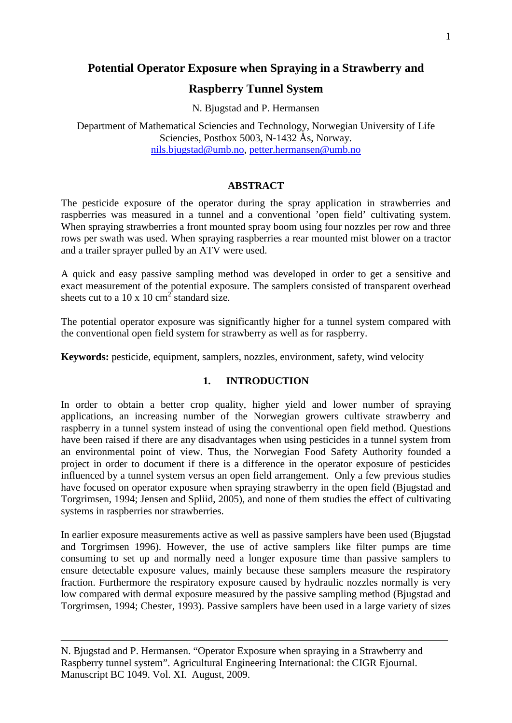# **Potential Operator Exposure when Spraying in a Strawberry and**

# **Raspberry Tunnel System**

N. Bjugstad and P. Hermansen

Department of Mathematical Sciencies and Technology, Norwegian University of Life Sciencies, Postbox 5003, N-1432 Ås, Norway. [nils.bjugstad@umb.no,](mailto:nils.bjugstad@umb.no) [petter.hermansen@umb.no](mailto:petter.hermansen@umb.no)

## **ABSTRACT**

The pesticide exposure of the operator during the spray application in strawberries and raspberries was measured in a tunnel and a conventional 'open field' cultivating system. When spraying strawberries a front mounted spray boom using four nozzles per row and three rows per swath was used. When spraying raspberries a rear mounted mist blower on a tractor and a trailer sprayer pulled by an ATV were used.

A quick and easy passive sampling method was developed in order to get a sensitive and exact measurement of the potential exposure. The samplers consisted of transparent overhead sheets cut to a 10 x 10  $\text{cm}^2$  standard size.

The potential operator exposure was significantly higher for a tunnel system compared with the conventional open field system for strawberry as well as for raspberry.

**Keywords:** pesticide, equipment, samplers, nozzles, environment, safety, wind velocity

# **1. INTRODUCTION**

In order to obtain a better crop quality, higher yield and lower number of spraying applications, an increasing number of the Norwegian growers cultivate strawberry and raspberry in a tunnel system instead of using the conventional open field method. Questions have been raised if there are any disadvantages when using pesticides in a tunnel system from an environmental point of view. Thus, the Norwegian Food Safety Authority founded a project in order to document if there is a difference in the operator exposure of pesticides influenced by a tunnel system versus an open field arrangement. Only a few previous studies have focused on operator exposure when spraying strawberry in the open field (Bjugstad and Torgrimsen, 1994; Jensen and Spliid, 2005), and none of them studies the effect of cultivating systems in raspberries nor strawberries.

In earlier exposure measurements active as well as passive samplers have been used (Bjugstad and Torgrimsen 1996). However, the use of active samplers like filter pumps are time consuming to set up and normally need a longer exposure time than passive samplers to ensure detectable exposure values, mainly because these samplers measure the respiratory fraction. Furthermore the respiratory exposure caused by hydraulic nozzles normally is very low compared with dermal exposure measured by the passive sampling method (Bjugstad and Torgrimsen, 1994; Chester, 1993). Passive samplers have been used in a large variety of sizes

N. Bjugstad and P. Hermansen. "Operator Exposure when spraying in a Strawberry and Raspberry tunnel system". Agricultural Engineering International: the CIGR Ejournal. Manuscript BC 1049. Vol. XI. August, 2009.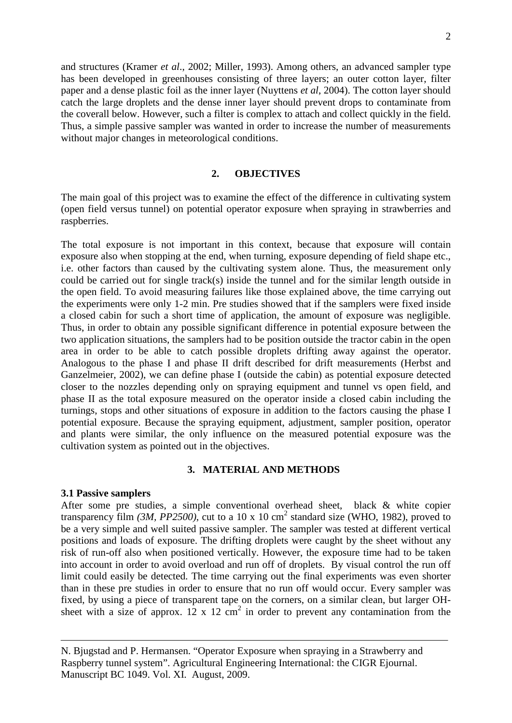and structures (Kramer *et al*., 2002; Miller, 1993). Among others, an advanced sampler type has been developed in greenhouses consisting of three layers; an outer cotton layer, filter paper and a dense plastic foil as the inner layer (Nuyttens *et al*, 2004). The cotton layer should catch the large droplets and the dense inner layer should prevent drops to contaminate from the coverall below. However, such a filter is complex to attach and collect quickly in the field. Thus, a simple passive sampler was wanted in order to increase the number of measurements without major changes in meteorological conditions.

## **2. OBJECTIVES**

The main goal of this project was to examine the effect of the difference in cultivating system (open field versus tunnel) on potential operator exposure when spraying in strawberries and raspberries.

The total exposure is not important in this context, because that exposure will contain exposure also when stopping at the end, when turning, exposure depending of field shape etc., i.e. other factors than caused by the cultivating system alone. Thus, the measurement only could be carried out for single track(s) inside the tunnel and for the similar length outside in the open field. To avoid measuring failures like those explained above, the time carrying out the experiments were only 1-2 min. Pre studies showed that if the samplers were fixed inside a closed cabin for such a short time of application, the amount of exposure was negligible. Thus, in order to obtain any possible significant difference in potential exposure between the two application situations, the samplers had to be position outside the tractor cabin in the open area in order to be able to catch possible droplets drifting away against the operator. Analogous to the phase I and phase II drift described for drift measurements (Herbst and Ganzelmeier, 2002), we can define phase I (outside the cabin) as potential exposure detected closer to the nozzles depending only on spraying equipment and tunnel vs open field, and phase II as the total exposure measured on the operator inside a closed cabin including the turnings, stops and other situations of exposure in addition to the factors causing the phase I potential exposure. Because the spraying equipment, adjustment, sampler position, operator and plants were similar, the only influence on the measured potential exposure was the cultivation system as pointed out in the objectives.

#### **3. MATERIAL AND METHODS**

#### **3.1 Passive samplers**

After some pre studies, a simple conventional overhead sheet, black & white copier transparency film  $(3M, PP2500)$ , cut to a 10 x 10 cm<sup>2</sup> standard size (WHO, 1982), proved to be a very simple and well suited passive sampler. The sampler was tested at different vertical positions and loads of exposure. The drifting droplets were caught by the sheet without any risk of run-off also when positioned vertically. However, the exposure time had to be taken into account in order to avoid overload and run off of droplets. By visual control the run off limit could easily be detected. The time carrying out the final experiments was even shorter than in these pre studies in order to ensure that no run off would occur. Every sampler was fixed, by using a piece of transparent tape on the corners, on a similar clean, but larger OHsheet with a size of approx.  $12 \times 12$  cm<sup>2</sup> in order to prevent any contamination from the

N. Bjugstad and P. Hermansen. "Operator Exposure when spraying in a Strawberry and Raspberry tunnel system". Agricultural Engineering International: the CIGR Ejournal. Manuscript BC 1049. Vol. XI. August, 2009.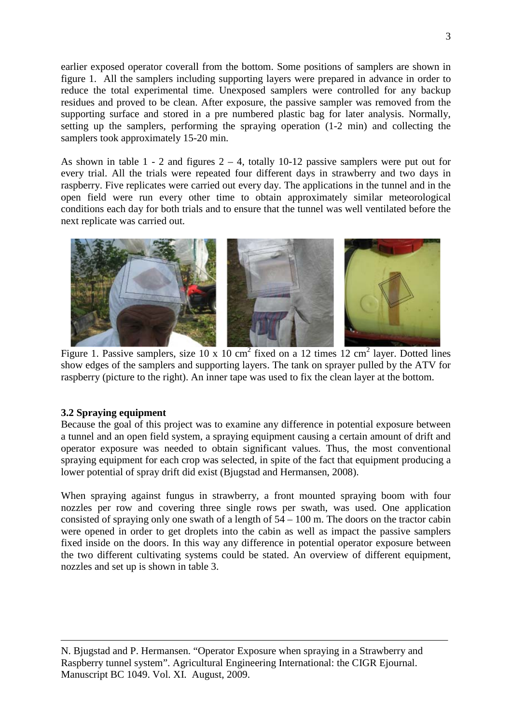earlier exposed operator coverall from the bottom. Some positions of samplers are shown in figure 1. All the samplers including supporting layers were prepared in advance in order to reduce the total experimental time. Unexposed samplers were controlled for any backup residues and proved to be clean. After exposure, the passive sampler was removed from the supporting surface and stored in a pre numbered plastic bag for later analysis. Normally, setting up the samplers, performing the spraying operation (1-2 min) and collecting the samplers took approximately 15-20 min.

As shown in table  $1 - 2$  and figures  $2 - 4$ , totally 10-12 passive samplers were put out for every trial. All the trials were repeated four different days in strawberry and two days in raspberry. Five replicates were carried out every day. The applications in the tunnel and in the open field were run every other time to obtain approximately similar meteorological conditions each day for both trials and to ensure that the tunnel was well ventilated before the next replicate was carried out.



Figure 1. Passive samplers, size  $10 \times 10 \text{ cm}^2$  fixed on a 12 times  $12 \text{ cm}^2$  layer. Dotted lines show edges of the samplers and supporting layers. The tank on sprayer pulled by the ATV for raspberry (picture to the right). An inner tape was used to fix the clean layer at the bottom.

## **3.2 Spraying equipment**

Because the goal of this project was to examine any difference in potential exposure between a tunnel and an open field system, a spraying equipment causing a certain amount of drift and operator exposure was needed to obtain significant values. Thus, the most conventional spraying equipment for each crop was selected, in spite of the fact that equipment producing a lower potential of spray drift did exist (Bjugstad and Hermansen, 2008).

When spraying against fungus in strawberry, a front mounted spraying boom with four nozzles per row and covering three single rows per swath, was used. One application consisted of spraying only one swath of a length of  $54 - 100$  m. The doors on the tractor cabin were opened in order to get droplets into the cabin as well as impact the passive samplers fixed inside on the doors. In this way any difference in potential operator exposure between the two different cultivating systems could be stated. An overview of different equipment, nozzles and set up is shown in table 3.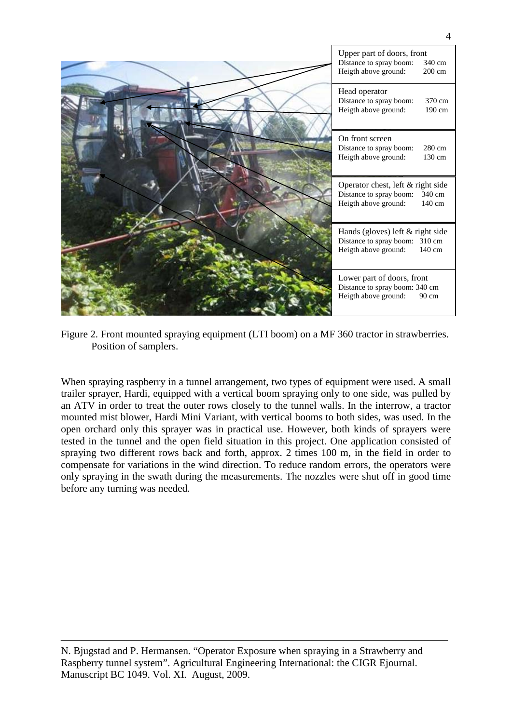| Upper part of doors, front<br>340 cm<br>Distance to spray boom:<br>Heigth above ground:<br>200 cm        |
|----------------------------------------------------------------------------------------------------------|
| Head operator<br>Distance to spray boom:<br>370 cm<br>Heigth above ground:<br>190 cm                     |
| On front screen<br>280 cm<br>Distance to spray boom:<br>Heigth above ground:<br>$130 \text{ cm}$         |
| Operator chest, left & right side<br>340 cm<br>Distance to spray boom:<br>Heigth above ground:<br>140 cm |
| Hands (gloves) left & right side<br>Distance to spray boom:<br>310 cm<br>Heigth above ground:<br>140 cm  |
| Lower part of doors, front<br>Distance to spray boom: 340 cm<br>Heigth above ground:<br>90 cm            |

Figure 2. Front mounted spraying equipment (LTI boom) on a MF 360 tractor in strawberries. Position of samplers.

When spraying raspberry in a tunnel arrangement, two types of equipment were used. A small trailer sprayer, Hardi, equipped with a vertical boom spraying only to one side, was pulled by an ATV in order to treat the outer rows closely to the tunnel walls. In the interrow, a tractor mounted mist blower, Hardi Mini Variant, with vertical booms to both sides, was used. In the open orchard only this sprayer was in practical use. However, both kinds of sprayers were tested in the tunnel and the open field situation in this project. One application consisted of spraying two different rows back and forth, approx. 2 times 100 m, in the field in order to compensate for variations in the wind direction. To reduce random errors, the operators were only spraying in the swath during the measurements. The nozzles were shut off in good time before any turning was needed.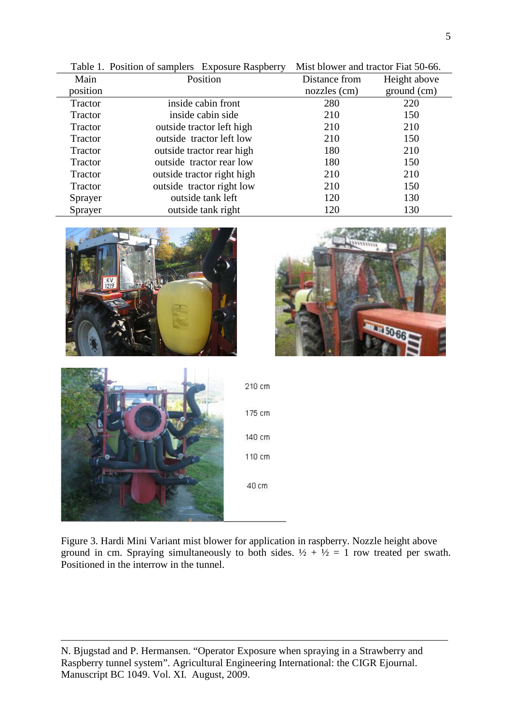|                | Table 1. Position of samplers Exposure Raspberry |                            | Mist blower and tractor Fiat 50-66. |               |
|----------------|--------------------------------------------------|----------------------------|-------------------------------------|---------------|
| Main           | Position                                         |                            | Distance from                       | Height above  |
| position       |                                                  |                            | $nozzles$ (cm)                      | $ground$ (cm) |
| <b>Tractor</b> |                                                  | inside cabin front         | 280                                 | 220           |
| Tractor        |                                                  | inside cabin side          | 210                                 | 150           |
| Tractor        |                                                  | outside tractor left high  | 210                                 | 210           |
| Tractor        |                                                  | outside tractor left low   | 210                                 | 150           |
| Tractor        |                                                  | outside tractor rear high  | 180                                 | 210           |
| Tractor        |                                                  | outside tractor rear low   | 180                                 | 150           |
| Tractor        |                                                  | outside tractor right high | 210                                 | 210           |
| <b>Tractor</b> |                                                  | outside tractor right low  | 210                                 | 150           |
| Sprayer        |                                                  | outside tank left          | 120                                 | 130           |
| Sprayer        |                                                  | outside tank right         | 120                                 | 130           |





| 210 cm |
|--------|
| 175 cm |
| 140 cm |
| 110 cm |
| 40 cm  |
|        |

Figure 3. Hardi Mini Variant mist blower for application in raspberry. Nozzle height above ground in cm. Spraying simultaneously to both sides.  $\frac{1}{2} + \frac{1}{2} = 1$  row treated per swath. Positioned in the interrow in the tunnel.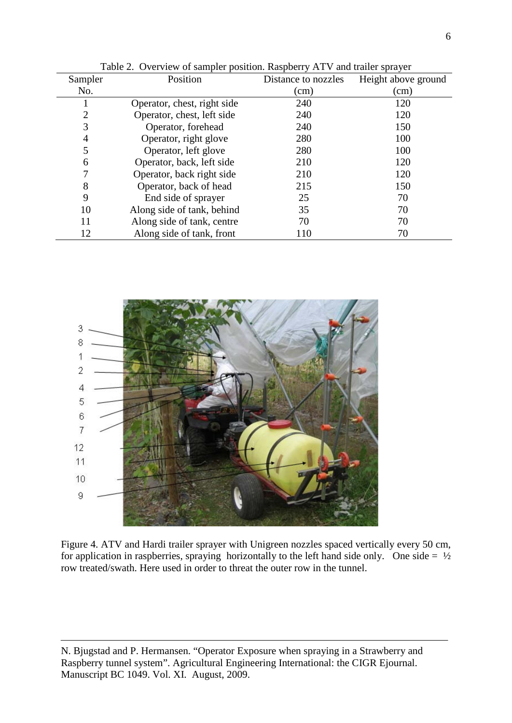| Sampler | Position                    | Distance to nozzles | Height above ground |
|---------|-----------------------------|---------------------|---------------------|
|         |                             |                     |                     |
| No.     |                             | (cm)                | (cm)                |
|         | Operator, chest, right side | 240                 | 120                 |
|         | Operator, chest, left side  | 240                 | 120                 |
| 3       | Operator, forehead          | 240                 | 150                 |
| 4       | Operator, right glove       | 280                 | 100                 |
| 5       | Operator, left glove        | 280                 | 100                 |
| 6       | Operator, back, left side   | 210                 | 120                 |
|         | Operator, back right side   | 210                 | 120                 |
| 8       | Operator, back of head      | 215                 | 150                 |
| 9       | End side of sprayer         | 25                  | 70                  |
| 10      | Along side of tank, behind  | 35                  | 70                  |
| 11      | Along side of tank, centre  | 70                  | 70                  |
| 12      | Along side of tank, front   | 110                 | 70                  |

Table 2. Overview of sampler position. Raspberry ATV and trailer sprayer



Figure 4. ATV and Hardi trailer sprayer with Unigreen nozzles spaced vertically every 50 cm, for application in raspberries, spraying horizontally to the left hand side only. One side =  $\frac{1}{2}$ row treated/swath. Here used in order to threat the outer row in the tunnel.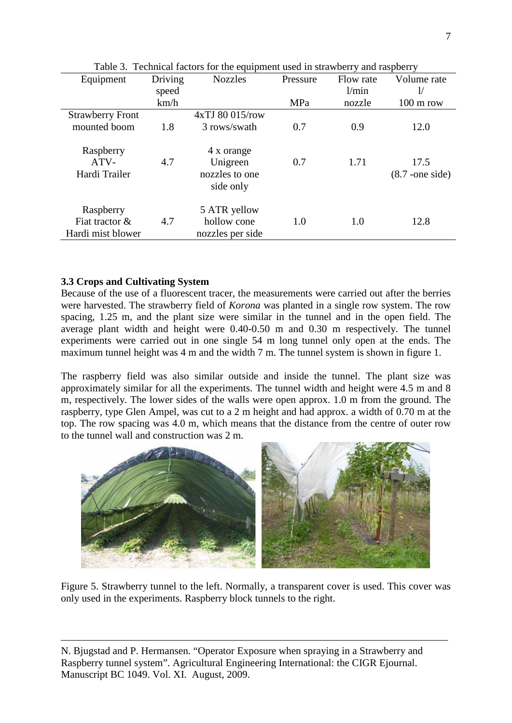| Table 5. Technical factors for the equipment used in strawbelly and faspocity |         |                                                       |          |           |                            |
|-------------------------------------------------------------------------------|---------|-------------------------------------------------------|----------|-----------|----------------------------|
| Equipment                                                                     | Driving | <b>Nozzles</b>                                        | Pressure | Flow rate | Volume rate                |
|                                                                               | speed   |                                                       |          | 1/min     | l/                         |
|                                                                               | km/h    |                                                       | MPa      | nozzle    | $100 \text{ m}$ row        |
| <b>Strawberry Front</b>                                                       |         | $4xTJ$ 80 015/row                                     |          |           |                            |
| mounted boom                                                                  | 1.8     | 3 rows/swath                                          | 0.7      | 0.9       | 12.0                       |
| Raspberry<br>ATV-<br>Hardi Trailer                                            | 4.7     | 4 x orange<br>Unigreen<br>nozzles to one<br>side only | 0.7      | 1.71      | 17.5<br>$(8.7 - one side)$ |
| Raspberry<br>Fiat tractor &<br>Hardi mist blower                              | 4.7     | 5 ATR yellow<br>hollow cone<br>nozzles per side       | 1.0      | 1.0       | 12.8                       |

Table 3. Technical factors for the equipment used in strawberry and raspberry

# **3.3 Crops and Cultivating System**

Because of the use of a fluorescent tracer, the measurements were carried out after the berries were harvested. The strawberry field of *Korona* was planted in a single row system. The row spacing, 1.25 m, and the plant size were similar in the tunnel and in the open field. The average plant width and height were 0.40-0.50 m and 0.30 m respectively. The tunnel experiments were carried out in one single 54 m long tunnel only open at the ends. The maximum tunnel height was 4 m and the width 7 m. The tunnel system is shown in figure 1.

The raspberry field was also similar outside and inside the tunnel. The plant size was approximately similar for all the experiments. The tunnel width and height were 4.5 m and 8 m, respectively. The lower sides of the walls were open approx. 1.0 m from the ground. The raspberry, type Glen Ampel, was cut to a 2 m height and had approx. a width of 0.70 m at the top. The row spacing was 4.0 m, which means that the distance from the centre of outer row to the tunnel wall and construction was 2 m.



Figure 5. Strawberry tunnel to the left. Normally, a transparent cover is used. This cover was only used in the experiments. Raspberry block tunnels to the right.

N. Bjugstad and P. Hermansen. "Operator Exposure when spraying in a Strawberry and Raspberry tunnel system". Agricultural Engineering International: the CIGR Ejournal. Manuscript BC 1049. Vol. XI. August, 2009.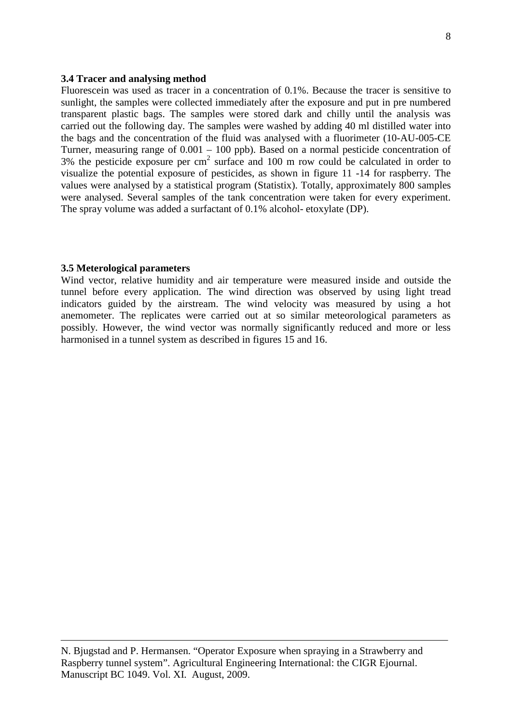### **3.4 Tracer and analysing method**

Fluorescein was used as tracer in a concentration of 0.1%. Because the tracer is sensitive to sunlight, the samples were collected immediately after the exposure and put in pre numbered transparent plastic bags. The samples were stored dark and chilly until the analysis was carried out the following day. The samples were washed by adding 40 ml distilled water into the bags and the concentration of the fluid was analysed with a fluorimeter (10-AU-005-CE Turner, measuring range of 0.001 – 100 ppb). Based on a normal pesticide concentration of 3% the pesticide exposure per cm<sup>2</sup> surface and 100 m row could be calculated in order to visualize the potential exposure of pesticides, as shown in figure 11 -14 for raspberry. The values were analysed by a statistical program (Statistix). Totally, approximately 800 samples were analysed. Several samples of the tank concentration were taken for every experiment. The spray volume was added a surfactant of 0.1% alcohol- etoxylate (DP).

## **3.5 Meterological parameters**

Wind vector, relative humidity and air temperature were measured inside and outside the tunnel before every application. The wind direction was observed by using light tread indicators guided by the airstream. The wind velocity was measured by using a hot anemometer. The replicates were carried out at so similar meteorological parameters as possibly. However, the wind vector was normally significantly reduced and more or less harmonised in a tunnel system as described in figures 15 and 16.

N. Bjugstad and P. Hermansen. "Operator Exposure when spraying in a Strawberry and Raspberry tunnel system". Agricultural Engineering International: the CIGR Ejournal. Manuscript BC 1049. Vol. XI. August, 2009.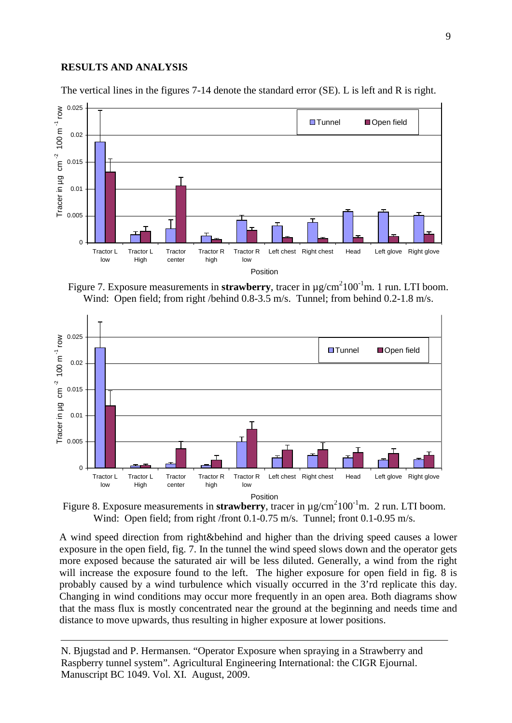# **RESULTS AND ANALYSIS**



The vertical lines in the figures 7-14 denote the standard error (SE). L is left and R is right.

Figure 7. Exposure measurements in **strawberry**, tracer in µg/cm<sup>2</sup>100<sup>-1</sup>m. 1 run. LTI boom. Wind: Open field; from right /behind 0.8-3.5 m/s. Tunnel; from behind 0.2-1.8 m/s.



Figure 8. Exposure measurements in **strawberry**, tracer in  $\mu$ g/cm<sup>2</sup>100<sup>-1</sup>m. 2 run. LTI boom. Wind: Open field; from right /front 0.1-0.75 m/s. Tunnel; front 0.1-0.95 m/s.

A wind speed direction from right&behind and higher than the driving speed causes a lower exposure in the open field, fig. 7. In the tunnel the wind speed slows down and the operator gets more exposed because the saturated air will be less diluted. Generally, a wind from the right will increase the exposure found to the left. The higher exposure for open field in fig. 8 is probably caused by a wind turbulence which visually occurred in the 3'rd replicate this day. Changing in wind conditions may occur more frequently in an open area. Both diagrams show that the mass flux is mostly concentrated near the ground at the beginning and needs time and distance to move upwards, thus resulting in higher exposure at lower positions.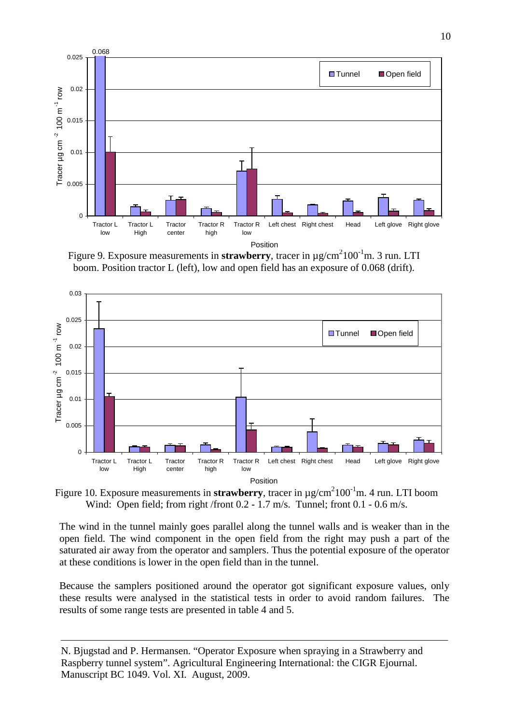

 boom. Position tractor L (left), low and open field has an exposure of 0.068 (drift). Figure 9. Exposure measurements in **strawberry**, tracer in  $\mu$ g/cm<sup>2</sup>100<sup>-1</sup>m. 3 run. LTI



Figure 10. Exposure measurements in **strawberry**, tracer in  $\mu$ g/cm<sup>2</sup>100<sup>-1</sup>m. 4 run. LTI boom Wind: Open field; from right /front 0.2 - 1.7 m/s. Tunnel; front 0.1 - 0.6 m/s.

The wind in the tunnel mainly goes parallel along the tunnel walls and is weaker than in the open field. The wind component in the open field from the right may push a part of the saturated air away from the operator and samplers. Thus the potential exposure of the operator at these conditions is lower in the open field than in the tunnel.

Because the samplers positioned around the operator got significant exposure values, only these results were analysed in the statistical tests in order to avoid random failures. The results of some range tests are presented in table 4 and 5.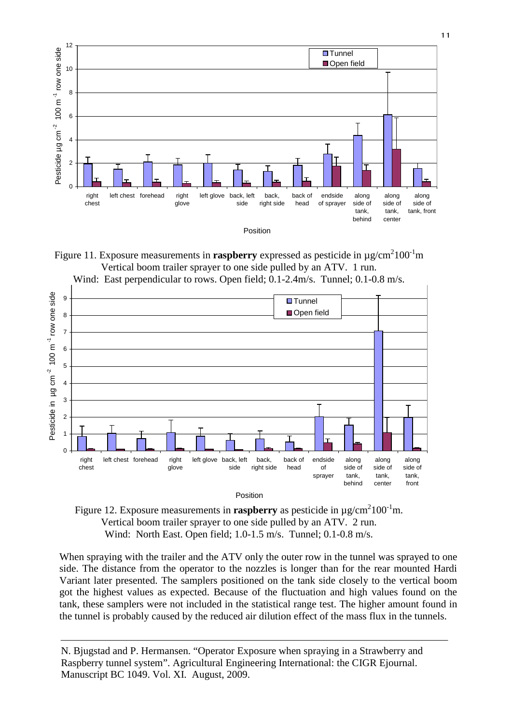

Figure 11. Exposure measurements in **raspberry** expressed as pesticide in  $\mu$ g/cm<sup>2</sup>100<sup>-1</sup>m Vertical boom trailer sprayer to one side pulled by an ATV. 1 run.



Wind: East perpendicular to rows. Open field; 0.1-2.4m/s. Tunnel; 0.1-0.8 m/s.



When spraying with the trailer and the ATV only the outer row in the tunnel was sprayed to one side. The distance from the operator to the nozzles is longer than for the rear mounted Hardi Variant later presented. The samplers positioned on the tank side closely to the vertical boom got the highest values as expected. Because of the fluctuation and high values found on the tank, these samplers were not included in the statistical range test. The higher amount found in the tunnel is probably caused by the reduced air dilution effect of the mass flux in the tunnels.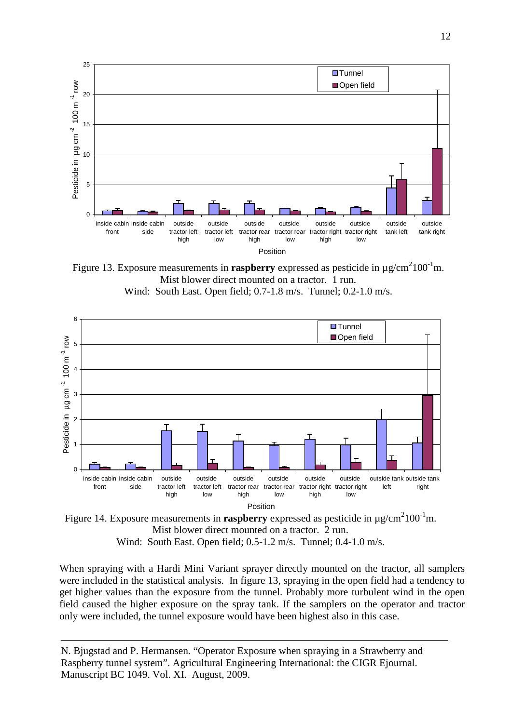

 Wind: South East. Open field; 0.7-1.8 m/s. Tunnel; 0.2-1.0 m/s. Figure 13. Exposure measurements in **raspberry** expressed as pesticide in  $\mu$ g/cm<sup>2</sup>100<sup>-1</sup>m. Mist blower direct mounted on a tractor. 1 run.



Figure 14. Exposure measurements in **raspberry** expressed as pesticide in  $\mu$ g/cm<sup>2</sup>100<sup>-1</sup>m. Mist blower direct mounted on a tractor. 2 run. Wind: South East. Open field; 0.5-1.2 m/s. Tunnel; 0.4-1.0 m/s.

When spraying with a Hardi Mini Variant sprayer directly mounted on the tractor, all samplers were included in the statistical analysis. In figure 13, spraying in the open field had a tendency to get higher values than the exposure from the tunnel. Probably more turbulent wind in the open field caused the higher exposure on the spray tank. If the samplers on the operator and tractor only were included, the tunnel exposure would have been highest also in this case.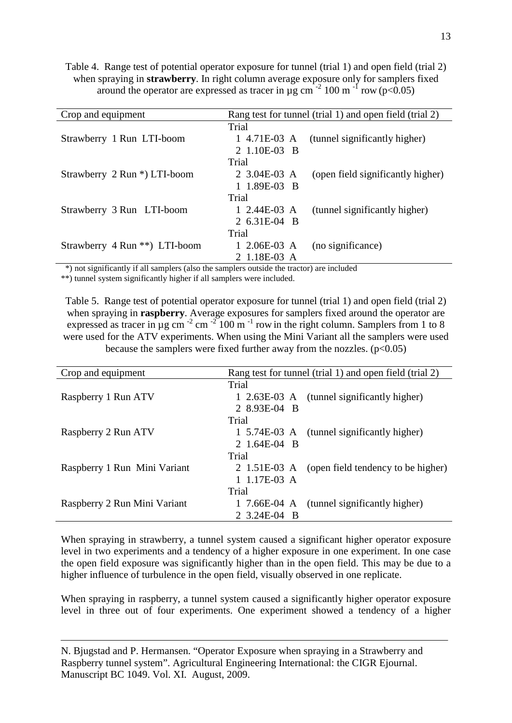Table 4. Range test of potential operator exposure for tunnel (trial 1) and open field (trial 2) when spraying in **strawberry**. In right column average exposure only for samplers fixed around the operator are expressed as tracer in  $\mu$ g cm<sup>-2</sup> 100 m<sup>-1</sup> row (p<0.05)

| Crop and equipment                                                                                                                  | Rang test for tunnel (trial 1) and open field (trial 2) |                                   |  |
|-------------------------------------------------------------------------------------------------------------------------------------|---------------------------------------------------------|-----------------------------------|--|
|                                                                                                                                     | Trial                                                   |                                   |  |
| Strawberry 1 Run LTI-boom                                                                                                           | 1 4.71E-03 A                                            | (tunnel significantly higher)     |  |
|                                                                                                                                     | 2 1.10E-03 B                                            |                                   |  |
|                                                                                                                                     | Trial                                                   |                                   |  |
| Strawberry 2 Run *) LTI-boom                                                                                                        | 2 3.04E-03 A                                            | (open field significantly higher) |  |
|                                                                                                                                     | 1 1.89E-03 B                                            |                                   |  |
|                                                                                                                                     | Trial                                                   |                                   |  |
| Strawberry 3 Run LTI-boom                                                                                                           | 1 2.44E-03 A                                            | (tunnel significantly higher)     |  |
|                                                                                                                                     | 2 6.31E-04 B                                            |                                   |  |
|                                                                                                                                     | Trial                                                   |                                   |  |
| Strawberry 4 Run **) LTI-boom                                                                                                       | 1 2.06E-03 A                                            | (no significance)                 |  |
|                                                                                                                                     | 2 1.18E-03 A                                            |                                   |  |
| $\mathbf{1}$ and $\mathbf{1}$ and $\mathbf{1}$ and $\mathbf{1}$ and $\mathbf{1}$ and $\mathbf{1}$ and $\mathbf{1}$ and $\mathbf{1}$ |                                                         |                                   |  |

\*) not significantly if all samplers (also the samplers outside the tractor) are included

\*\*) tunnel system significantly higher if all samplers were included.

Table 5. Range test of potential operator exposure for tunnel (trial 1) and open field (trial 2) when spraying in **raspberry**. Average exposures for samplers fixed around the operator are expressed as tracer in  $\mu$ g cm<sup>-2</sup> cm<sup>-2</sup> 100 m<sup>-1</sup> row in the right column. Samplers from 1 to 8 were used for the ATV experiments. When using the Mini Variant all the samplers were used because the samplers were fixed further away from the nozzles. (p<0.05)

| Crop and equipment           | Rang test for tunnel (trial 1) and open field (trial 2) |                                            |  |
|------------------------------|---------------------------------------------------------|--------------------------------------------|--|
|                              | Trial                                                   |                                            |  |
| Raspberry 1 Run ATV          |                                                         | 1 2.63E-03 A (tunnel significantly higher) |  |
|                              | 2 8.93E-04 B                                            |                                            |  |
|                              | Trial                                                   |                                            |  |
| Raspberry 2 Run ATV          |                                                         | 1 5.74E-03 A (tunnel significantly higher) |  |
|                              | 2 1.64E-04 B                                            |                                            |  |
|                              | Trial                                                   |                                            |  |
| Raspberry 1 Run Mini Variant | 2 1.51E-03 A                                            | (open field tendency to be higher)         |  |
|                              | 1 1.17E-03 A                                            |                                            |  |
|                              | Trial                                                   |                                            |  |
| Raspberry 2 Run Mini Variant | 1 7.66E-04 A                                            | (tunnel significantly higher)              |  |
|                              | 2 3.24E-04 B                                            |                                            |  |

When spraying in strawberry, a tunnel system caused a significant higher operator exposure level in two experiments and a tendency of a higher exposure in one experiment. In one case the open field exposure was significantly higher than in the open field. This may be due to a higher influence of turbulence in the open field, visually observed in one replicate.

When spraying in raspberry, a tunnel system caused a significantly higher operator exposure level in three out of four experiments. One experiment showed a tendency of a higher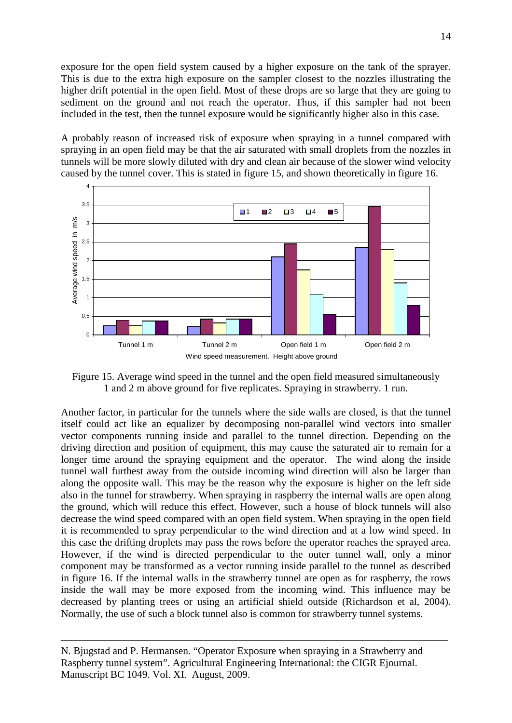exposure for the open field system caused by a higher exposure on the tank of the sprayer. This is due to the extra high exposure on the sampler closest to the nozzles illustrating the higher drift potential in the open field. Most of these drops are so large that they are going to sediment on the ground and not reach the operator. Thus, if this sampler had not been included in the test, then the tunnel exposure would be significantly higher also in this case.

A probably reason of increased risk of exposure when spraying in a tunnel compared with spraying in an open field may be that the air saturated with small droplets from the nozzles in tunnels will be more slowly diluted with dry and clean air because of the slower wind velocity caused by the tunnel cover. This is stated in figure 15, and shown theoretically in figure 16.



Figure 15. Average wind speed in the tunnel and the open field measured simultaneously 1 and 2 m above ground for five replicates. Spraying in strawberry. 1 run.

Another factor, in particular for the tunnels where the side walls are closed, is that the tunnel itself could act like an equalizer by decomposing non-parallel wind vectors into smaller vector components running inside and parallel to the tunnel direction. Depending on the driving direction and position of equipment, this may cause the saturated air to remain for a longer time around the spraying equipment and the operator. The wind along the inside tunnel wall furthest away from the outside incoming wind direction will also be larger than along the opposite wall. This may be the reason why the exposure is higher on the left side also in the tunnel for strawberry. When spraying in raspberry the internal walls are open along the ground, which will reduce this effect. However, such a house of block tunnels will also decrease the wind speed compared with an open field system. When spraying in the open field it is recommended to spray perpendicular to the wind direction and at a low wind speed. In this case the drifting droplets may pass the rows before the operator reaches the sprayed area. However, if the wind is directed perpendicular to the outer tunnel wall, only a minor component may be transformed as a vector running inside parallel to the tunnel as described in figure 16. If the internal walls in the strawberry tunnel are open as for raspberry, the rows inside the wall may be more exposed from the incoming wind. This influence may be decreased by planting trees or using an artificial shield outside (Richardson et al, 2004). Normally, the use of such a block tunnel also is common for strawberry tunnel systems.

N. Bjugstad and P. Hermansen. "Operator Exposure when spraying in a Strawberry and Raspberry tunnel system". Agricultural Engineering International: the CIGR Ejournal. Manuscript BC 1049. Vol. XI. August, 2009.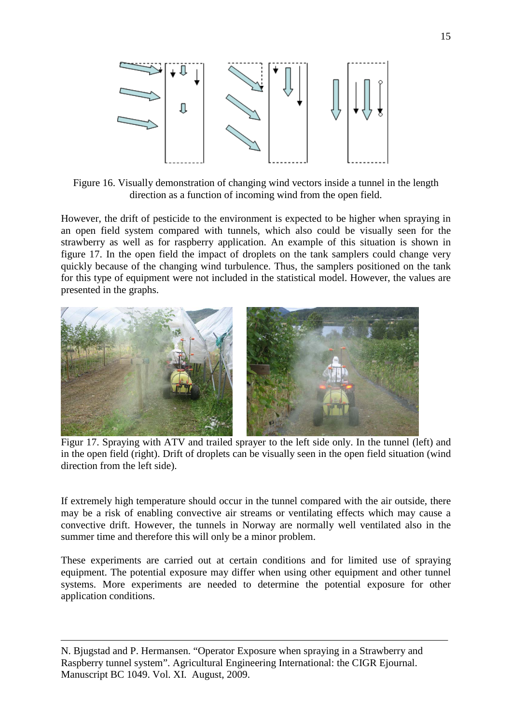

Figure 16. Visually demonstration of changing wind vectors inside a tunnel in the length direction as a function of incoming wind from the open field.

However, the drift of pesticide to the environment is expected to be higher when spraying in an open field system compared with tunnels, which also could be visually seen for the strawberry as well as for raspberry application. An example of this situation is shown in figure 17. In the open field the impact of droplets on the tank samplers could change very quickly because of the changing wind turbulence. Thus, the samplers positioned on the tank for this type of equipment were not included in the statistical model. However, the values are presented in the graphs.



Figur 17. Spraying with ATV and trailed sprayer to the left side only. In the tunnel (left) and in the open field (right). Drift of droplets can be visually seen in the open field situation (wind direction from the left side).

If extremely high temperature should occur in the tunnel compared with the air outside, there may be a risk of enabling convective air streams or ventilating effects which may cause a convective drift. However, the tunnels in Norway are normally well ventilated also in the summer time and therefore this will only be a minor problem.

These experiments are carried out at certain conditions and for limited use of spraying equipment. The potential exposure may differ when using other equipment and other tunnel systems. More experiments are needed to determine the potential exposure for other application conditions.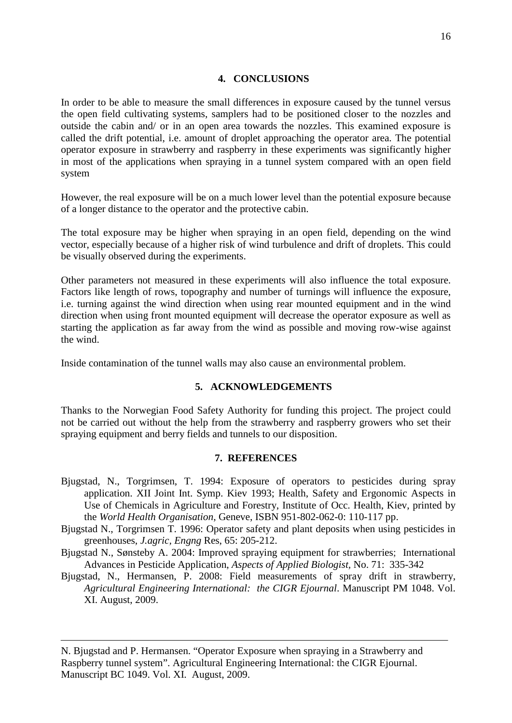## **4. CONCLUSIONS**

In order to be able to measure the small differences in exposure caused by the tunnel versus the open field cultivating systems, samplers had to be positioned closer to the nozzles and outside the cabin and/ or in an open area towards the nozzles. This examined exposure is called the drift potential, i.e. amount of droplet approaching the operator area. The potential operator exposure in strawberry and raspberry in these experiments was significantly higher in most of the applications when spraying in a tunnel system compared with an open field system

However, the real exposure will be on a much lower level than the potential exposure because of a longer distance to the operator and the protective cabin.

The total exposure may be higher when spraying in an open field, depending on the wind vector, especially because of a higher risk of wind turbulence and drift of droplets. This could be visually observed during the experiments.

Other parameters not measured in these experiments will also influence the total exposure. Factors like length of rows, topography and number of turnings will influence the exposure, i.e. turning against the wind direction when using rear mounted equipment and in the wind direction when using front mounted equipment will decrease the operator exposure as well as starting the application as far away from the wind as possible and moving row-wise against the wind.

Inside contamination of the tunnel walls may also cause an environmental problem.

## **5. ACKNOWLEDGEMENTS**

Thanks to the Norwegian Food Safety Authority for funding this project. The project could not be carried out without the help from the strawberry and raspberry growers who set their spraying equipment and berry fields and tunnels to our disposition.

## **7. REFERENCES**

- Bjugstad, N., Torgrimsen, T. 1994: Exposure of operators to pesticides during spray application. XII Joint Int. Symp. Kiev 1993; Health, Safety and Ergonomic Aspects in Use of Chemicals in Agriculture and Forestry, Institute of Occ. Health, Kiev, printed by the *World Health Organisation*, Geneve, ISBN 951-802-062-0: 110-117 pp.
- Bjugstad N., Torgrimsen T. 1996: Operator safety and plant deposits when using pesticides in greenhouses, *J.agric, Engng* Res, 65: 205-212.
- Bjugstad N., Sønsteby A. 2004: Improved spraying equipment for strawberries; International Advances in Pesticide Application, *Aspects of Applied Biologist,* No. 71: 335-342
- Bjugstad, N., Hermansen, P. 2008: Field measurements of spray drift in strawberry, *Agricultural Engineering International: the CIGR Ejournal*. Manuscript PM 1048. Vol. XI. August, 2009.

N. Bjugstad and P. Hermansen. "Operator Exposure when spraying in a Strawberry and Raspberry tunnel system". Agricultural Engineering International: the CIGR Ejournal. Manuscript BC 1049. Vol. XI. August, 2009.